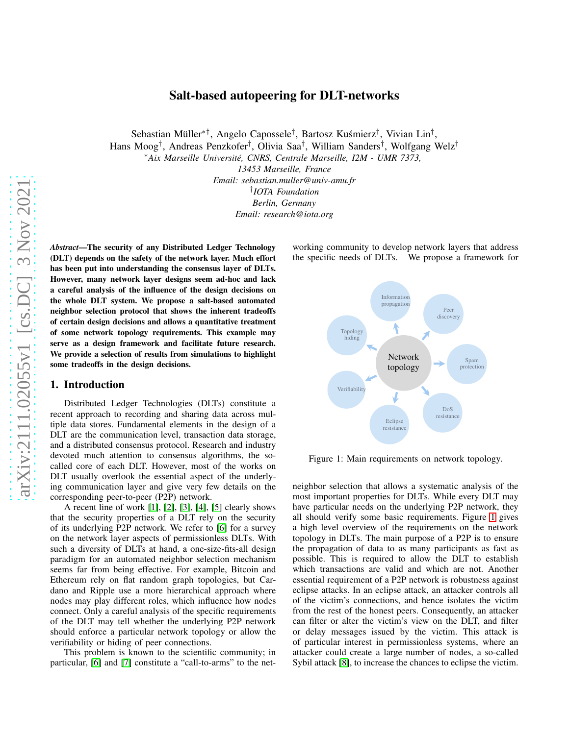# Salt-based autopeering for DLT-networks

Sebastian Müller<sup>∗†</sup>, Angelo Capossele<sup>†</sup>, Bartosz Kuśmierz<sup>†</sup>, Vivian Lin<sup>†</sup>, Hans Moog† , Andreas Penzkofer† , Olivia Saa† , William Sanders† , Wolfgang Welz†

<sup>∗</sup>*Aix Marseille Université, CNRS, Centrale Marseille, I2M - UMR 7373,*

*13453 Marseille, France Email: sebastian.muller@univ-amu.fr* † *IOTA Foundation Berlin, Germany Email: research@iota.org*

*Abstract*—The security of any Distributed Ledger Technology (DLT) depends on the safety of the network layer. Much effort has been put into understanding the consensus layer of DLTs. However, many network layer designs seem ad-hoc and lack a careful analysis of the influence of the design decisions on the whole DLT system. We propose a salt-based automated neighbor selection protocol that shows the inherent tradeoffs of certain design decisions and allows a quantitative treatment of some network topology requirements. This example may serve as a design framework and facilitate future research. We provide a selection of results from simulations to highlight some tradeoffs in the design decisions.

### 1. Introduction

Distributed Ledger Technologies (DLTs) constitute a recent approach to recording and sharing data across multiple data stores. Fundamental elements in the design of a DLT are the communication level, transaction data storage, and a distributed consensus protocol. Research and industry devoted much attention to consensus algorithms, the socalled core of each DLT. However, most of the works on DLT usually overlook the essential aspect of the underlying communication layer and give very few details on the corresponding peer-to-peer (P2P) network.

A recent line of work [\[1\]](#page-3-0), [\[2\]](#page-3-1), [\[3\]](#page-3-2), [\[4\]](#page-3-3), [\[5\]](#page-3-4) clearly shows that the security properties of a DLT rely on the security of its underlying P2P network. We refer to [\[6\]](#page-3-5) for a survey on the network layer aspects of permissionless DLTs. With such a diversity of DLTs at hand, a one-size-fits-all design paradigm for an automated neighbor selection mechanism seems far from being effective. For example, Bitcoin and Ethereum rely on flat random graph topologies, but Cardano and Ripple use a more hierarchical approach where nodes may play different roles, which influence how nodes connect. Only a careful analysis of the specific requirements of the DLT may tell whether the underlying P2P network should enforce a particular network topology or allow the verifiability or hiding of peer connections.

This problem is known to the scientific community; in particular, [\[6\]](#page-3-5) and [\[7\]](#page-3-6) constitute a "call-to-arms" to the networking community to develop network layers that address the specific needs of DLTs. We propose a framework for

<span id="page-0-0"></span>

Figure 1: Main requirements on network topology.

neighbor selection that allows a systematic analysis of the most important properties for DLTs. While every DLT may have particular needs on the underlying P2P network, they all should verify some basic requirements. Figure [1](#page-0-0) gives a high level overview of the requirements on the network topology in DLTs. The main purpose of a P2P is to ensure the propagation of data to as many participants as fast as possible. This is required to allow the DLT to establish which transactions are valid and which are not. Another essential requirement of a P2P network is robustness against eclipse attacks. In an eclipse attack, an attacker controls all of the victim's connections, and hence isolates the victim from the rest of the honest peers. Consequently, an attacker can filter or alter the victim's view on the DLT, and filter or delay messages issued by the victim. This attack is of particular interest in permissionless systems, where an attacker could create a large number of nodes, a so-called Sybil attack [\[8\]](#page-3-7), to increase the chances to eclipse the victim.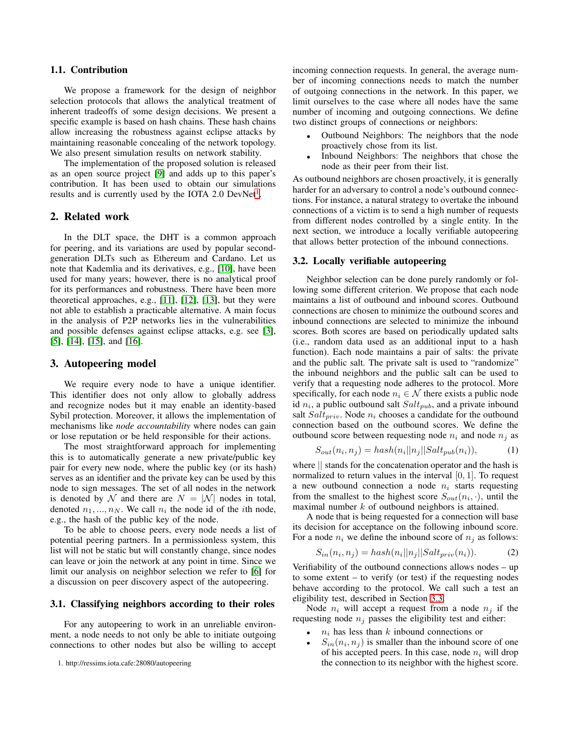## 1.1. Contribution

We propose a framework for the design of neighbor selection protocols that allows the analytical treatment of inherent tradeoffs of some design decisions. We present a specific example is based on hash chains. These hash chains allow increasing the robustness against eclipse attacks by maintaining reasonable concealing of the network topology. We also present simulation results on network stability.

The implementation of the proposed solution is released as an open source project [\[9\]](#page-3-8) and adds up to this paper's contribution. It has been used to obtain our simulations results and is currently used by the IOTA 2.0 DevNet<sup>[1](#page-1-0)</sup>.

## 2. Related work

In the DLT space, the DHT is a common approach for peering, and its variations are used by popular secondgeneration DLTs such as Ethereum and Cardano. Let us note that Kademlia and its derivatives, e.g., [\[10\]](#page-3-9), have been used for many years; however, there is no analytical proof for its performances and robustness. There have been more theoretical approaches, e.g., [\[11\]](#page-3-10), [\[12\]](#page-3-11), [\[13\]](#page-3-12), but they were not able to establish a practicable alternative. A main focus in the analysis of P2P networks lies in the vulnerabilities and possible defenses against eclipse attacks, e.g. see [\[3\]](#page-3-2), [\[5\]](#page-3-4), [\[14\]](#page-3-13), [\[15\]](#page-3-14), and [\[16\]](#page-3-15).

#### 3. Autopeering model

We require every node to have a unique identifier. This identifier does not only allow to globally address and recognize nodes but it may enable an identity-based Sybil protection. Moreover, it allows the implementation of mechanisms like *node accountability* where nodes can gain or lose reputation or be held responsible for their actions.

The most straightforward approach for implementing this is to automatically generate a new private/public key pair for every new node, where the public key (or its hash) serves as an identifier and the private key can be used by this node to sign messages. The set of all nodes in the network is denoted by N and there are  $N = |\mathcal{N}|$  nodes in total, denoted  $n_1, ..., n_N$ . We call  $n_i$  the node id of the *i*th node, e.g., the hash of the public key of the node.

To be able to choose peers, every node needs a list of potential peering partners. In a permissionless system, this list will not be static but will constantly change, since nodes can leave or join the network at any point in time. Since we limit our analysis on neighbor selection we refer to [\[6\]](#page-3-5) for a discussion on peer discovery aspect of the autopeering.

#### 3.1. Classifying neighbors according to their roles

For any autopeering to work in an unreliable environment, a node needs to not only be able to initiate outgoing connections to other nodes but also be willing to accept incoming connection requests. In general, the average number of incoming connections needs to match the number of outgoing connections in the network. In this paper, we limit ourselves to the case where all nodes have the same number of incoming and outgoing connections. We define two distinct groups of connections or neighbors:

- Outbound Neighbors: The neighbors that the node proactively chose from its list.
- Inbound Neighbors: The neighbors that chose the node as their peer from their list.

As outbound neighbors are chosen proactively, it is generally harder for an adversary to control a node's outbound connections. For instance, a natural strategy to overtake the inbound connections of a victim is to send a high number of requests from different nodes controlled by a single entity. In the next section, we introduce a locally verifiable autopeering that allows better protection of the inbound connections.

#### 3.2. Locally verifiable autopeering

Neighbor selection can be done purely randomly or following some different criterion. We propose that each node maintains a list of outbound and inbound scores. Outbound connections are chosen to minimize the outbound scores and inbound connections are selected to minimize the inbound scores. Both scores are based on periodically updated salts (i.e., random data used as an additional input to a hash function). Each node maintains a pair of salts: the private and the public salt. The private salt is used to "randomize" the inbound neighbors and the public salt can be used to verify that a requesting node adheres to the protocol. More specifically, for each node  $n_i \in \mathcal{N}$  there exists a public node id  $n_i$ , a public outbound salt  $Salt_{pub}$ , and a private inbound salt  $Salt_{priv}$ . Node  $n_i$  chooses a candidate for the outbound connection based on the outbound scores. We define the outbound score between requesting node  $n_i$  and node  $n_j$  as

$$
S_{out}(n_i, n_j) = hash(n_i||n_j||Salt_{pub}(n_i)),
$$
\n(1)

where || stands for the concatenation operator and the hash is normalized to return values in the interval  $[0, 1]$ . To request a new outbound connection a node  $n_i$  starts requesting from the smallest to the highest score  $S_{out}(n_i, \cdot)$ , until the maximal number  $k$  of outbound neighbors is attained.

A node that is being requested for a connection will base its decision for acceptance on the following inbound score. For a node  $n_i$  we define the inbound score of  $n_i$  as follows:

$$
S_{in}(n_i, n_j) = hash(n_i||n_j||Salt_{priv}(n_i)).
$$
\n(2)

Verifiability of the outbound connections allows nodes – up to some extent – to verify (or test) if the requesting nodes behave according to the protocol. We call such a test an eligibility test, described in Section [3.3.](#page-2-0)

Node  $n_i$  will accept a request from a node  $n_j$  if the requesting node  $n_i$  passes the eligibility test and either:

- $n_i$  has less than k inbound connections or
- $S_{in}(n_i, n_j)$  is smaller than the inbound score of one of his accepted peers. In this case, node  $n_i$  will drop the connection to its neighbor with the highest score.

<span id="page-1-0"></span><sup>1.</sup> http://ressims.iota.cafe:28080/autopeering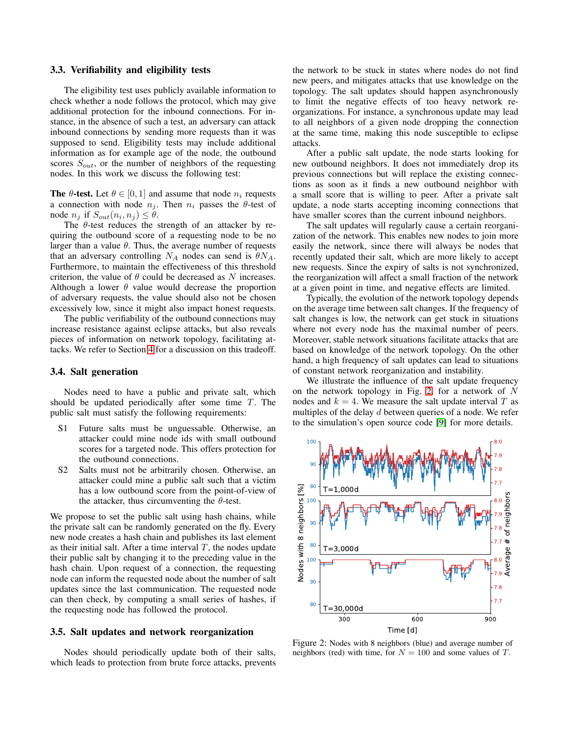#### <span id="page-2-0"></span>3.3. Verifiability and eligibility tests

The eligibility test uses publicly available information to check whether a node follows the protocol, which may give additional protection for the inbound connections. For instance, in the absence of such a test, an adversary can attack inbound connections by sending more requests than it was supposed to send. Eligibility tests may include additional information as for example age of the node, the outbound scores  $S_{out}$ , or the number of neighbors of the requesting nodes. In this work we discuss the following test:

**The**  $\theta$ **-test.** Let  $\theta \in [0, 1]$  and assume that node  $n_i$  requests a connection with node  $n_i$ . Then  $n_i$  passes the  $\theta$ -test of node  $n_j$  if  $S_{out}(n_i, n_j) \leq \theta$ .

The  $\theta$ -test reduces the strength of an attacker by requiring the outbound score of a requesting node to be no larger than a value  $\theta$ . Thus, the average number of requests that an adversary controlling  $N_A$  nodes can send is  $\theta N_A$ . Furthermore, to maintain the effectiveness of this threshold criterion, the value of  $\theta$  could be decreased as N increases. Although a lower  $\theta$  value would decrease the proportion of adversary requests, the value should also not be chosen excessively low, since it might also impact honest requests.

The public verifiability of the outbound connections may increase resistance against eclipse attacks, but also reveals pieces of information on network topology, facilitating attacks. We refer to Section [4](#page-3-16) for a discussion on this tradeoff.

#### 3.4. Salt generation

Nodes need to have a public and private salt, which should be updated periodically after some time  $T$ . The public salt must satisfy the following requirements:

- S1 Future salts must be unguessable. Otherwise, an attacker could mine node ids with small outbound scores for a targeted node. This offers protection for the outbound connections.
- S2 Salts must not be arbitrarily chosen. Otherwise, an attacker could mine a public salt such that a victim has a low outbound score from the point-of-view of the attacker, thus circumventing the  $\theta$ -test.

We propose to set the public salt using hash chains, while the private salt can be randomly generated on the fly. Every new node creates a hash chain and publishes its last element as their initial salt. After a time interval  $T$ , the nodes update their public salt by changing it to the preceding value in the hash chain. Upon request of a connection, the requesting node can inform the requested node about the number of salt updates since the last communication. The requested node can then check, by computing a small series of hashes, if the requesting node has followed the protocol.

## 3.5. Salt updates and network reorganization

Nodes should periodically update both of their salts, which leads to protection from brute force attacks, prevents the network to be stuck in states where nodes do not find new peers, and mitigates attacks that use knowledge on the topology. The salt updates should happen asynchronously to limit the negative effects of too heavy network reorganizations. For instance, a synchronous update may lead to all neighbors of a given node dropping the connection at the same time, making this node susceptible to eclipse attacks.

After a public salt update, the node starts looking for new outbound neighbors. It does not immediately drop its previous connections but will replace the existing connections as soon as it finds a new outbound neighbor with a small score that is willing to peer. After a private salt update, a node starts accepting incoming connections that have smaller scores than the current inbound neighbors.

The salt updates will regularly cause a certain reorganization of the network. This enables new nodes to join more easily the network, since there will always be nodes that recently updated their salt, which are more likely to accept new requests. Since the expiry of salts is not synchronized, the reorganization will affect a small fraction of the network at a given point in time, and negative effects are limited.

Typically, the evolution of the network topology depends on the average time between salt changes. If the frequency of salt changes is low, the network can get stuck in situations where not every node has the maximal number of peers. Moreover, stable network situations facilitate attacks that are based on knowledge of the network topology. On the other hand, a high frequency of salt updates can lead to situations of constant network reorganization and instability.

We illustrate the influence of the salt update frequency on the network topology in Fig. [2,](#page-2-1) for a network of  $N$ nodes and  $k = 4$ . We measure the salt update interval T as multiples of the delay  $d$  between queries of a node. We refer to the simulation's open source code [\[9\]](#page-3-8) for more details.

<span id="page-2-1"></span>

Figure 2: Nodes with 8 neighbors (blue) and average number of neighbors (red) with time, for  $N = 100$  and some values of T.